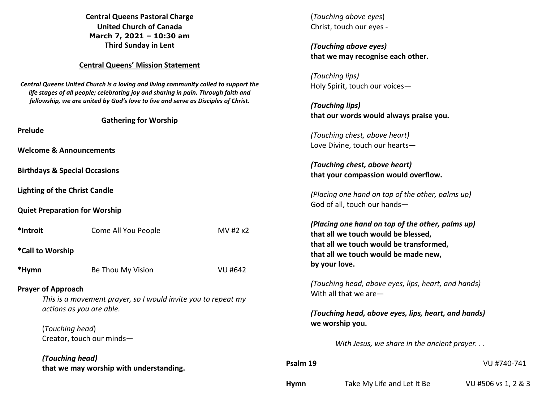**Central Queens Pastoral Charge United Church of Canada March 7, 2021 – 10:30 am Third Sunday in Lent** 

#### **Central Queens' Mission Statement**

*Central Queens United Church is a loving and living community called to support the life stages of all people; celebrating joy and sharing in pain. Through faith and fellowship, we are united by God's love to live and serve as Disciples of Christ***.** 

| <b>Prelude</b>                                                                                                                                                                            | <b>Gathering for Worship</b>            |          |  |  |  |  |  |
|-------------------------------------------------------------------------------------------------------------------------------------------------------------------------------------------|-----------------------------------------|----------|--|--|--|--|--|
| <b>Welcome &amp; Announcements</b>                                                                                                                                                        |                                         |          |  |  |  |  |  |
| <b>Birthdays &amp; Special Occasions</b>                                                                                                                                                  |                                         |          |  |  |  |  |  |
| <b>Lighting of the Christ Candle</b>                                                                                                                                                      |                                         |          |  |  |  |  |  |
| <b>Quiet Preparation for Worship</b>                                                                                                                                                      |                                         |          |  |  |  |  |  |
| *Introit                                                                                                                                                                                  | Come All You People                     | MV #2 x2 |  |  |  |  |  |
| *Call to Worship                                                                                                                                                                          |                                         |          |  |  |  |  |  |
| *Hymn                                                                                                                                                                                     | Be Thou My Vision                       | VU #642  |  |  |  |  |  |
| <b>Prayer of Approach</b><br>This is a movement prayer, so I would invite you to repeat my<br>actions as you are able.<br>(Touching head)<br>Creator, touch our minds-<br>(Touching head) |                                         |          |  |  |  |  |  |
|                                                                                                                                                                                           | that we may worship with understanding. |          |  |  |  |  |  |

(*Touching above eyes*) Christ, touch our eyes - *(Touching above eyes)***that we may recognise each other.** *(Touching lips)*  Holy Spirit, touch our voices— *(Touching lips)*  **that our words would always praise you.** *(Touching chest, above heart)*  Love Divine, touch our hearts— *(Touching chest, above heart)*  **that your compassion would overflow.** *(Placing one hand on top of the other, palms up)*  God of all, touch our hands— *(Placing one hand on top of the other, palms up)* **that all we touch would be blessed, that all we touch would be transformed, that all we touch would be made new, by your love.** 

*(Touching head, above eyes, lips, heart, and hands)* With all that we are—

# *(Touching head, above eyes, lips, heart, and hands)***we worship you.**

*With Jesus, we share in the ancient prayer. . .* 

| Psalm 19 |                            | VU #740-741         |
|----------|----------------------------|---------------------|
| Hymn     | Take My Life and Let It Be | VU #506 vs 1, 2 & 3 |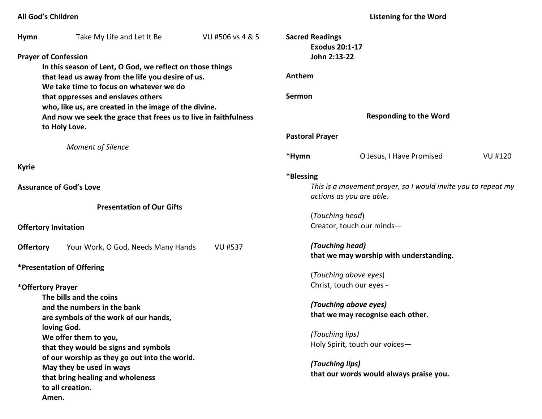# **All God's Children**

**Listening for the Word** 

| <b>Hymn</b>              | Take My Life and Let It Be                                      | VU #506 vs 4 & 5 | <b>Sacred Readings</b>                                     | <b>Exodus 20:1-17</b>                                         |                |
|--------------------------|-----------------------------------------------------------------|------------------|------------------------------------------------------------|---------------------------------------------------------------|----------------|
|                          | <b>Prayer of Confession</b>                                     |                  | John 2:13-22                                               |                                                               |                |
|                          | In this season of Lent, O God, we reflect on those things       |                  |                                                            |                                                               |                |
|                          | that lead us away from the life you desire of us.               |                  | Anthem                                                     |                                                               |                |
|                          | We take time to focus on whatever we do                         |                  |                                                            |                                                               |                |
|                          | that oppresses and enslaves others                              |                  | <b>Sermon</b>                                              |                                                               |                |
|                          | who, like us, are created in the image of the divine.           |                  |                                                            |                                                               |                |
|                          | And now we seek the grace that frees us to live in faithfulness |                  |                                                            | <b>Responding to the Word</b>                                 |                |
|                          | to Holy Love.                                                   |                  |                                                            |                                                               |                |
|                          |                                                                 |                  | <b>Pastoral Prayer</b>                                     |                                                               |                |
|                          | <b>Moment of Silence</b>                                        |                  |                                                            |                                                               |                |
|                          |                                                                 |                  | *Hymn                                                      | O Jesus, I Have Promised                                      | <b>VU #120</b> |
| <b>Kyrie</b>             |                                                                 |                  |                                                            |                                                               |                |
|                          |                                                                 |                  | *Blessing                                                  |                                                               |                |
|                          | <b>Assurance of God's Love</b>                                  |                  |                                                            | This is a movement prayer, so I would invite you to repeat my |                |
|                          |                                                                 |                  |                                                            | actions as you are able.                                      |                |
|                          | <b>Presentation of Our Gifts</b>                                |                  |                                                            |                                                               |                |
|                          |                                                                 |                  |                                                            | (Touching head)                                               |                |
|                          | <b>Offertory Invitation</b>                                     |                  |                                                            | Creator, touch our minds-                                     |                |
| <b>Offertory</b>         | Your Work, O God, Needs Many Hands                              | <b>VU #537</b>   |                                                            | (Touching head)                                               |                |
|                          |                                                                 |                  |                                                            | that we may worship with understanding.                       |                |
|                          | <i><b>*Presentation of Offering</b></i>                         |                  |                                                            |                                                               |                |
|                          |                                                                 |                  |                                                            | (Touching above eyes)                                         |                |
| *Offertory Prayer        |                                                                 |                  |                                                            | Christ, touch our eyes -                                      |                |
|                          | The bills and the coins                                         |                  |                                                            |                                                               |                |
|                          | and the numbers in the bank                                     |                  | (Touching above eyes)                                      |                                                               |                |
|                          | are symbols of the work of our hands,                           |                  |                                                            | that we may recognise each other.                             |                |
|                          | loving God.                                                     |                  |                                                            |                                                               |                |
| We offer them to you,    |                                                                 | (Touching lips)  |                                                            |                                                               |                |
|                          | that they would be signs and symbols                            |                  |                                                            | Holy Spirit, touch our voices-                                |                |
|                          | of our worship as they go out into the world.                   |                  |                                                            |                                                               |                |
| May they be used in ways |                                                                 |                  | (Touching lips)<br>that our words would always praise you. |                                                               |                |
|                          | that bring healing and wholeness                                |                  |                                                            |                                                               |                |
|                          | to all creation.                                                |                  |                                                            |                                                               |                |
|                          | Amen.                                                           |                  |                                                            |                                                               |                |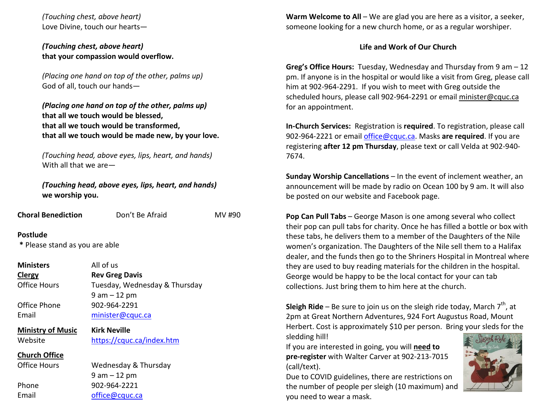*(Touching chest, above heart)* Love Divine, touch our hearts—

### *(Touching chest, above heart)*  **that your compassion would overflow.**

*(Placing one hand on top of the other, palms up)* God of all, touch our hands—

*(Placing one hand on top of the other, palms up)* **that all we touch would be blessed, that all we touch would be transformed, that all we touch would be made new, by your love.**

*(Touching head, above eyes, lips, heart, and hands)* With all that we are—

*(Touching head, above eyes, lips, heart, and hands)***we worship you.** 

| <b>Choral Benediction</b>                         | Don't Be Afraid               | MV #90 |
|---------------------------------------------------|-------------------------------|--------|
| <b>Postlude</b><br>* Please stand as you are able |                               |        |
| <b>Ministers</b>                                  | All of us                     |        |
| <b>Clergy</b>                                     | <b>Rev Greg Davis</b>         |        |
| <b>Office Hours</b>                               | Tuesday, Wednesday & Thursday |        |

 9 am – 12 pm Office Phone 902-964-2291 Email minister@cquc.ca

**Ministry of Music Kirk Neville**Website https://cquc.ca/index.htm

**Church Office**

Office Hours

Wednesday & Thursday 9 am – 12 pm Phone 902-964-2221 Email office@cquc.ca

**Warm Welcome to All** – We are glad you are here as a visitor, a seeker,someone looking for a new church home, or as a regular worshiper.

# **Life and Work of Our Church**

**Greg's Office Hours:** Tuesday, Wednesday and Thursday from 9 am – 12 pm. If anyone is in the hospital or would like a visit from Greg, please call him at 902-964-2291. If you wish to meet with Greg outside the scheduled hours, please call 902-964-2291 or email minister@cquc.ca for an appointment.

**In-Church Services:** Registration is **required**. To registration, please call 902-964-2221 or email office@cquc.ca. Masks **are required**. If you are registering **after 12 pm Thursday**, please text or call Velda at 902-940- 7674.

**Sunday Worship Cancellations** – In the event of inclement weather, an announcement will be made by radio on Ocean 100 by 9 am. It will also be posted on our website and Facebook page.

**Pop Can Pull Tabs** – George Mason is one among several who collect their pop can pull tabs for charity. Once he has filled a bottle or box with these tabs, he delivers them to a member of the Daughters of the Nile women's organization. The Daughters of the Nile sell them to a Halifax dealer, and the funds then go to the Shriners Hospital in Montreal where they are used to buy reading materials for the children in the hospital. George would be happy to be the local contact for your can tab collections. Just bring them to him here at the church.

**Sleigh Ride** – Be sure to join us on the sleigh ride today, March  $7<sup>th</sup>$ , at 2pm at Great Northern Adventures, 924 Fort Augustus Road, Mount Herbert. Cost is approximately \$10 per person. Bring your sleds for the sledding hill!

If you are interested in going, you will **need to pre-register** with Walter Carver at 902-213-7015 (call/text).

Due to COVID guidelines, there are restrictions on the number of people per sleigh (10 maximum) and you need to wear a mask.